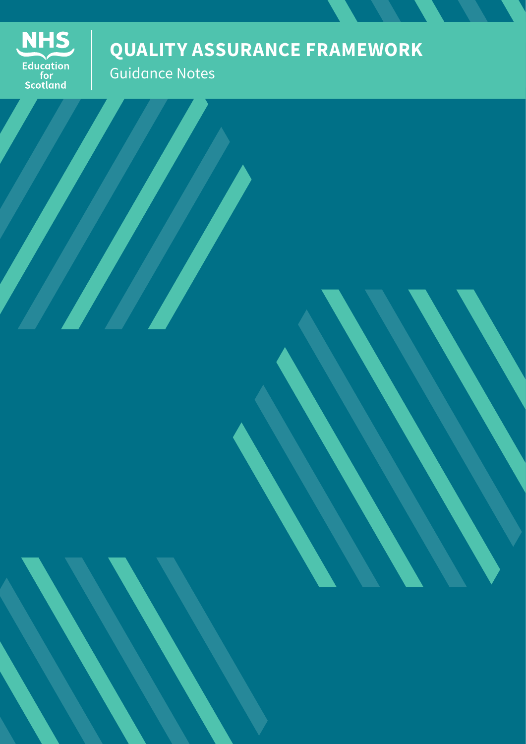

# **QUALITY ASSURANCE FRAMEWORK**

Guidance Notes

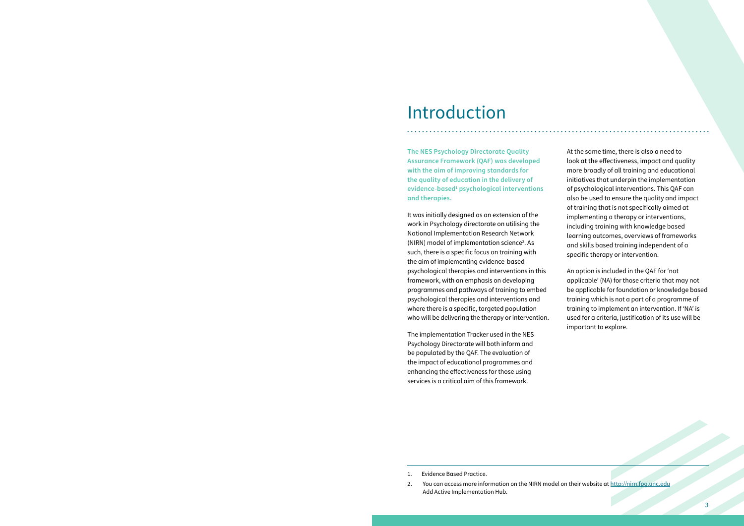**The NES Psychology Directorate Quality Assurance Framework (QAF) was developed with the aim of improving standards for the quality of education in the delivery of evidence-based1 psychological interventions and therapies.**

It was initially designed as an extension of the work in Psychology directorate on utilising the National Implementation Research Network (NIRN) model of implementation science<sup>2</sup>. As such, there is a specific focus on training with the aim of implementing evidence-based psychological therapies and interventions in this framework, with an emphasis on developing programmes and pathways of training to embed psychological therapies and interventions and where there is a specific, targeted population who will be delivering the therapy or intervention.

The implementation Tracker used in the NES Psychology Directorate will both inform and be populated by the QAF. The evaluation of the impact of educational programmes and enhancing the effectiveness for those using services is a critical aim of this framework.

At the same time, there is also a need to look at the effectiveness, impact and quality more broadly of all training and educational initiatives that underpin the implementation of psychological interventions. This QAF can also be used to ensure the quality and impact of training that is not specifically aimed at implementing a therapy or interventions, including training with knowledge based learning outcomes, overviews of frameworks and skills based training independent of a specific therapy or intervention.

An option is included in the QAF for 'not applicable' (NA) for those criteria that may not be applicable for foundation or knowledge based training which is not a part of a programme of training to implement an intervention. If 'NA' is used for a criteria, justification of its use will be important to explore.

# Introduction

- 1. Evidence Based Practice.
- 2. You can access more information on the NIRN model on their website at http://nirn.fpg.unc.edu Add Active Implementation Hub.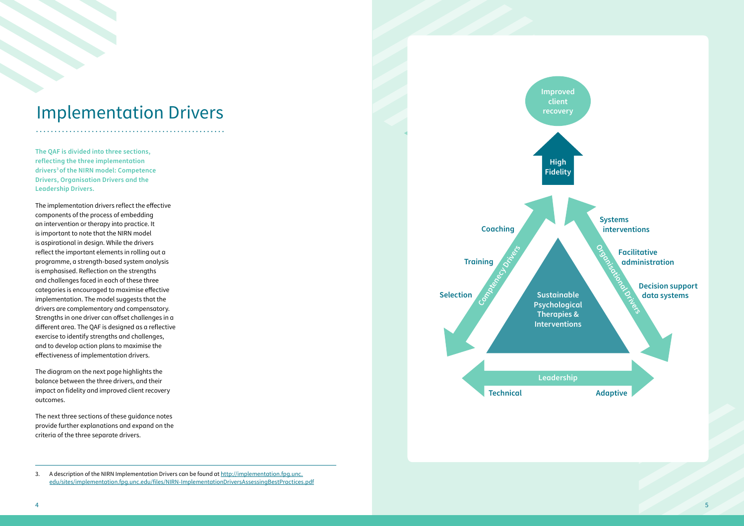**The QAF is divided into three sections, reflecting the three implementation drivers3of the NIRN model: Competence Drivers, Organisation Drivers and the Leadership Drivers.** 

The implementation drivers reflect the effective components of the process of embedding an intervention or therapy into practice. It is important to note that the NIRN model is aspirational in design. While the drivers reflect the important elements in rolling out a programme, a strength-based system analysis is emphasised. Reflection on the strengths and challenges faced in each of these three categories is encouraged to maximise effective implementation. The model suggests that the drivers are complementary and compensatory. Strengths in one driver can offset challenges in a different area. The QAF is designed as a reflective exercise to identify strengths and challenges, and to develop action plans to maximise the effectiveness of implementation drivers.

The diagram on the next page highlights the balance between the three drivers, and their impact on fidelity and improved client recovery outcomes.

The next three sections of these guidance notes provide further explanations and expand on the criteria of the three separate drivers.

# Implementation Drivers



<sup>3.</sup> A description of the NIRN Implementation Drivers can be found at http://implementation.fpg.unc. edu/sites/implementation.fpg.unc.edu/files/NIRN-ImplementationDriversAssessingBestPractices.pdf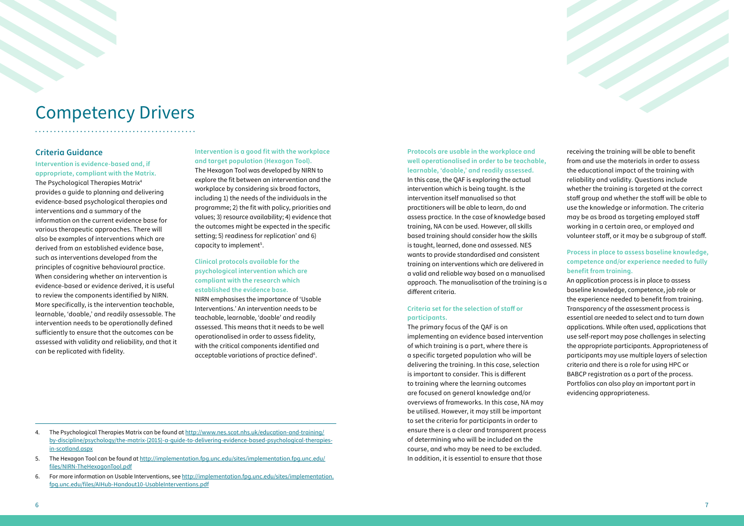**Protocols are usable in the workplace and well operationalised in order to be teachable, learnable, 'doable,' and readily assessed.**  In this case, the QAF is exploring the actual intervention which is being taught. Is the intervention itself manualised so that practitioners will be able to learn, do and assess practice. In the case of knowledge based training, NA can be used. However, all skills based training should consider how the skills is taught, learned, done and assessed. NES wants to provide standardised and consistent training on interventions which are delivered in a valid and reliable way based on a manualised approach. The manualisation of the training is a different criteria.

### **Criteria set for the selection of staff or participants.**

The primary focus of the QAF is on implementing an evidence based intervention of which training is a part, where there is a specific targeted population who will be delivering the training. In this case, selection is important to consider. This is different to training where the learning outcomes are focused on general knowledge and/or overviews of frameworks. In this case, NA may be utilised. However, it may still be important to set the criteria for participants in order to ensure there is a clear and transparent process of determining who will be included on the course, and who may be need to be excluded. In addition, it is essential to ensure that those



receiving the training will be able to benefit from and use the materials in order to assess the educational impact of the training with reliability and validity. Questions include whether the training is targeted at the correct staff group and whether the staff will be able to use the knowledge or information. The criteria may be as broad as targeting employed staff working in a certain area, or employed and volunteer staff, or it may be a subgroup of staff.

The Hexagon Tool was developed by NIRN to explore the fit between an intervention and the workplace by considering six broad factors, including 1) the needs of the individuals in the programme; 2) the fit with policy, priorities and values; 3) resource availability; 4) evidence that the outcomes might be expected in the specific setting; 5) readiness for replication' and 6) capacity to implement<sup>5</sup>.

### **Process in place to assess baseline knowledge, competence and/or experience needed to fully benefit from training.**

NIRN emphasises the importance of 'Usable Interventions.' An intervention needs to be teachable, learnable, 'doable' and readily assessed. This means that it needs to be well operationalised in order to assess fidelity, with the critical components identified and acceptable variations of practice defined $6$ .

An application process is in place to assess baseline knowledge, competence, job role or the experience needed to benefit from training. Transparency of the assessment process is essential are needed to select and to turn down applications. While often used, applications that use self-report may pose challenges in selecting the appropriate participants. Appropriateness of participants may use multiple layers of selection criteria and there is a role for using HPC or BABCP registration as a part of the process. Portfolios can also play an important part in evidencing appropriateness.

4. The Psychological Therapies Matrix can be found at http://www.nes.scot.nhs.uk/education-and-training/ by-discipline/psychology/the-matrix-(2015)-a-guide-to-delivering-evidence-based-psychological-therapiesin-scotland.aspx

### **Criteria Guidance**

**Intervention is evidence-based and, if appropriate, compliant with the Matrix.**  The Psychological Therapies Matrix4 provides a guide to planning and delivering evidence-based psychological therapies and interventions and a summary of the information on the current evidence base for various therapeutic approaches. There will also be examples of interventions which are derived from an established evidence base, such as interventions developed from the principles of cognitive behavioural practice. When considering whether an intervention is evidence-based or evidence derived, it is useful to review the components identified by NIRN. More specifically, is the intervention teachable, learnable, 'doable,' and readily assessable. The intervention needs to be operationally defined sufficiently to ensure that the outcomes can be assessed with validity and reliability, and that it can be replicated with fidelity.

### **Intervention is a good fit with the workplace and target population (Hexagon Tool).**

### **Clinical protocols available for the psychological intervention which are compliant with the research which established the evidence base.**

# Competency Drivers

- 5. The Hexagon Tool can be found at http://implementation.fpg.unc.edu/sites/implementation.fpg.unc.edu/ files/NIRN-TheHexagonTool.pdf
- 6. For more information on Usable Interventions, see http://implementation.fpg.unc.edu/sites/implementation. fpg.unc.edu/files/AIHub-Handout10-UsableInterventions.pdf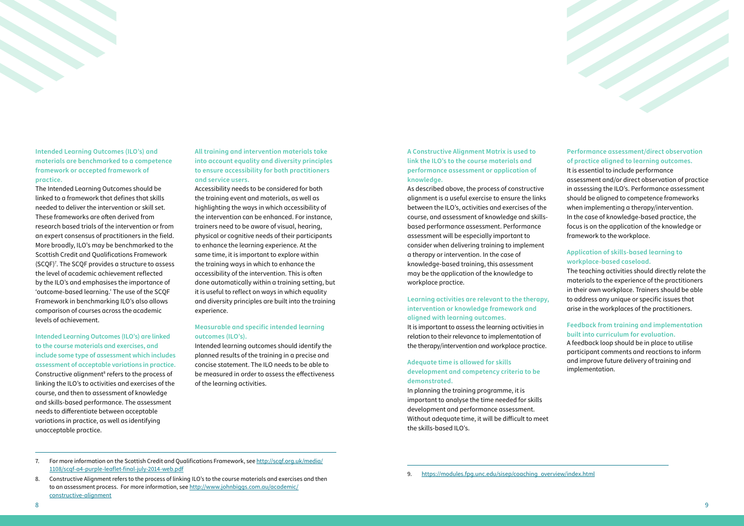**A Constructive Alignment Matrix is used to link the ILO's to the course materials and performance assessment or application of knowledge.** 

As described above, the process of constructive alignment is a useful exercise to ensure the links between the ILO's, activities and exercises of the course, and assessment of knowledge and skillsbased performance assessment. Performance assessment will be especially important to consider when delivering training to implement a therapy or intervention. In the case of knowledge-based training, this assessment may be the application of the knowledge to workplace practice.

In planning the training programme, it is important to analyse the time needed for skills development and performance assessment. Without adequate time, it will be difficult to meet the skills-based ILO's.

### **Learning activities are relevant to the therapy, intervention or knowledge framework and aligned with learning outcomes.**

It is important to assess the learning activities in relation to their relevance to implementation of the therapy/intervention and workplace practice.

### **Adequate time is allowed for skills development and competency criteria to be demonstrated.**

### **Performance assessment/direct observation of practice aligned to learning outcomes.**

The Contract of the Contract of

It is essential to include performance assessment and/or direct observation of practice in assessing the ILO's. Performance assessment should be aligned to competence frameworks when implementing a therapy/intervention. In the case of knowledge-based practice, the focus is on the application of the knowledge or framework to the workplace.

### **Application of skills-based learning to workplace-based caseload.**

The teaching activities should directly relate the materials to the experience of the practitioners in their own workplace. Trainers should be able to address any unique or specific issues that arise in the workplaces of the practitioners.

### **Feedback from training and implementation built into curriculum for evaluation.**

A feedback loop should be in place to utilise participant comments and reactions to inform and improve future delivery of training and implementation.

### **Intended Learning Outcomes (ILO's) and materials are benchmarked to a competence framework or accepted framework of practice.**

7. For more information on the Scottish Credit and Qualifications Framework, see http://scqf.org.uk/media/ 1108/scqf-a4-purple-leaflet-final-july-2014-web.pdf

The Intended Learning Outcomes should be linked to a framework that defines that skills needed to deliver the intervention or skill set. These frameworks are often derived from research based trials of the intervention or from an expert consensus of practitioners in the field. More broadly, ILO's may be benchmarked to the Scottish Credit and Qualifications Framework (SCQF)7 . The SCQF provides a structure to assess the level of academic achievement reflected by the ILO's and emphasises the importance of 'outcome-based learning.' The use of the SCQF Framework in benchmarking ILO's also allows comparison of courses across the academic levels of achievement.

**Intended Learning Outcomes (ILO's) are linked to the course materials and exercises, and include some type of assessment which includes assessment of acceptable variations in practice.**  Constructive alignment<sup>8</sup> refers to the process of linking the ILO's to activities and exercises of the course, and then to assessment of knowledge and skills-based performance. The assessment needs to differentiate between acceptable variations in practice, as well as identifying unacceptable practice.

**All training and intervention materials take into account equality and diversity principles to ensure accessibility for both practitioners and service users.** 

Accessibility needs to be considered for both the training event and materials, as well as highlighting the ways in which accessibility of the intervention can be enhanced. For instance, trainers need to be aware of visual, hearing, physical or cognitive needs of their participants to enhance the learning experience. At the same time, it is important to explore within the training ways in which to enhance the accessibility of the intervention. This is often done automatically within a training setting, but it is useful to reflect on ways in which equality and diversity principles are built into the training experience.

### **Measurable and specific intended learning outcomes (ILO's).**

Intended learning outcomes should identify the planned results of the training in a precise and concise statement. The ILO needs to be able to be measured in order to assess the effectiveness of the learning activities.

9. https://modules.fpg.unc.edu/sisep/coaching\_overview/index.html

<sup>8.</sup> Constructive Alignment refers to the process of linking ILO's to the course materials and exercises and then to an assessment process. For more information, see http://www.johnbiggs.com.au/academic/ constructive-alignment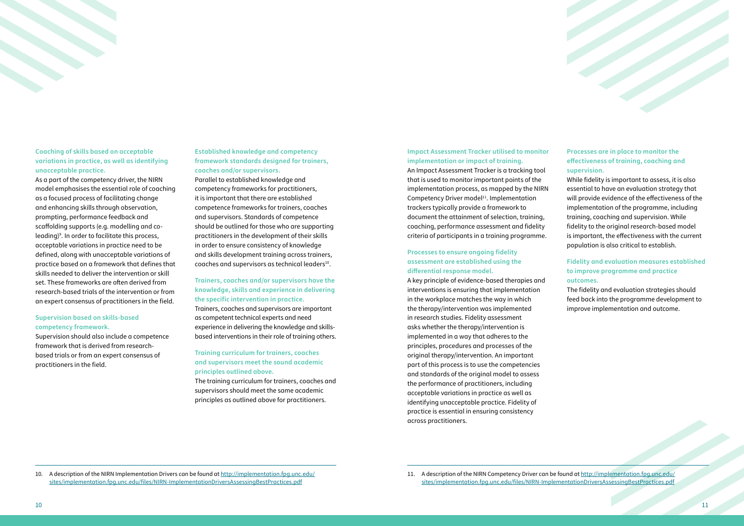### **Impact Assessment Tracker utilised to monitor implementation or impact of training.**

An Impact Assessment Tracker is a tracking tool that is used to monitor important points of the implementation process, as mapped by the NIRN Competency Driver model $11$ . Implementation trackers typically provide a framework to document the attainment of selection, training, coaching, performance assessment and fidelity criteria of participants in a training programme.

### **Processes to ensure ongoing fidelity assessment are established using the differential response model.**

A key principle of evidence-based therapies and interventions is ensuring that implementation in the workplace matches the way in which the therapy/intervention was implemented in research studies. Fidelity assessment asks whether the therapy/intervention is implemented in a way that adheres to the principles, procedures and processes of the original therapy/intervention. An important part of this process is to use the competencies and standards of the original model to assess the performance of practitioners, including acceptable variations in practice as well as identifying unacceptable practice. Fidelity of practice is essential in ensuring consistency across practitioners.

### **Processes are in place to monitor the effectiveness of training, coaching and supervision.**

**Established knowledge and competency framework standards designed for trainers, coaches and/or supervisors.**  Parallel to established knowledge and competency frameworks for practitioners, it is important that there are established competence frameworks for trainers, coaches and supervisors. Standards of competence should be outlined for those who are supporting practitioners in the development of their skills in order to ensure consistency of knowledge and skills development training across trainers, coaches and supervisors as technical leaders<sup>10</sup>.

While fidelity is important to assess, it is also essential to have an evaluation strategy that will provide evidence of the effectiveness of the implementation of the programme, including training, coaching and supervision. While fidelity to the original research-based model is important, the effectiveness with the current population is also critical to establish.

### **Fidelity and evaluation measures established to improve programme and practice outcomes.**

The fidelity and evaluation strategies should feed back into the programme development to improve implementation and outcome.

### **Coaching of skills based on acceptable variations in practice, as well as identifying unacceptable practice.**

As a part of the competency driver, the NIRN model emphasises the essential role of coaching as a focused process of facilitating change and enhancing skills through observation, prompting, performance feedback and scaffolding supports (e.g. modelling and coleading)9 . In order to facilitate this process, acceptable variations in practice need to be defined, along with unacceptable variations of practice based on a framework that defines that skills needed to deliver the intervention or skill set. These frameworks are often derived from research-based trials of the intervention or from an expert consensus of practitioners in the field.

### **Supervision based on skills-based competency framework.**

Supervision should also include a competence framework that is derived from researchbased trials or from an expert consensus of practitioners in the field.

### **Trainers, coaches and/or supervisors have the knowledge, skills and experience in delivering the specific intervention in practice.**

Trainers, coaches and supervisors are important as competent technical experts and need experience in delivering the knowledge and skillsbased interventions in their role of training others.

### **Training curriculum for trainers, coaches and supervisors meet the sound academic principles outlined above.**

The training curriculum for trainers, coaches and supervisors should meet the same academic principles as outlined above for practitioners.

10. A description of the NIRN Implementation Drivers can be found at http://implementation.fpg.unc.edu/ sites/implementation.fpg.unc.edu/files/NIRN-ImplementationDriversAssessingBestPractices.pdf

11. A description of the NIRN Competency Driver can be found at http://implementation.fpg.unc.edu/ sites/implementation.fpg.unc.edu/files/NIRN-ImplementationDriversAssessingBestPractices.pdf

#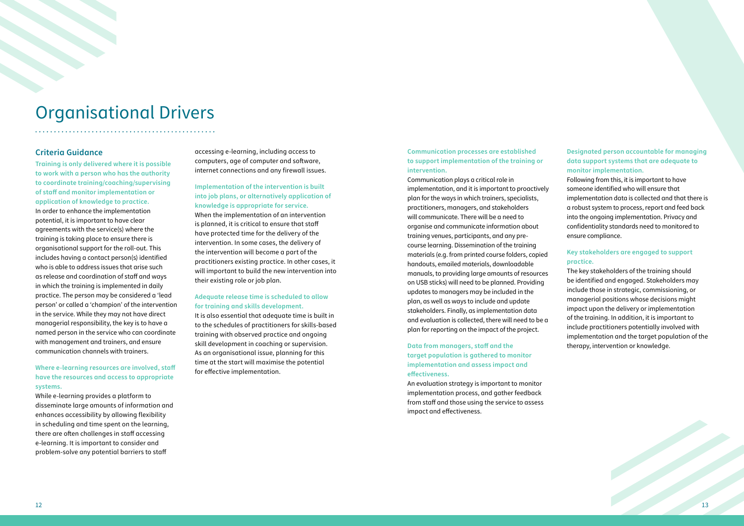

### **Communication processes are established to support implementation of the training or intervention.**

Communication plays a critical role in implementation, and it is important to proactively plan for the ways in which trainers, specialists, practitioners, managers, and stakeholders will communicate. There will be a need to organise and communicate information about training venues, participants, and any precourse learning. Dissemination of the training materials (e.g. from printed course folders, copied handouts, emailed materials, downloadable manuals, to providing large amounts of resources on USB sticks) will need to be planned. Providing updates to managers may be included in the plan, as well as ways to include and update stakeholders. Finally, as implementation data and evaluation is collected, there will need to be a plan for reporting on the impact of the project.

### **Data from managers, staff and the target population is gathered to monitor implementation and assess impact and effectiveness.**

An evaluation strategy is important to monitor implementation process, and gather feedback from staff and those using the service to assess impact and effectiveness.

### **Designated person accountable for managing data support systems that are adequate to monitor implementation.**

Following from this, it is important to have someone identified who will ensure that implementation data is collected and that there is a robust system to process, report and feed back into the ongoing implementation. Privacy and confidentiality standards need to monitored to ensure compliance.

### **Key stakeholders are engaged to support practice.**

The key stakeholders of the training should be identified and engaged. Stakeholders may include those in strategic, commissioning, or managerial positions whose decisions might impact upon the delivery or implementation of the training. In addition, it is important to include practitioners potentially involved with implementation and the target population of the therapy, intervention or knowledge.

### **Criteria Guidance**

**Training is only delivered where it is possible to work with a person who has the authority to coordinate training/coaching/supervising of staff and monitor implementation or application of knowledge to practice.**  In order to enhance the implementation potential, it is important to have clear agreements with the service(s) where the training is taking place to ensure there is organisational support for the roll-out. This includes having a contact person(s) identified who is able to address issues that arise such as release and coordination of staff and ways in which the training is implemented in daily practice. The person may be considered a 'lead person' or called a 'champion' of the intervention in the service. While they may not have direct managerial responsibility, the key is to have a named person in the service who can coordinate with management and trainers, and ensure communication channels with trainers.

### **Where e-learning resources are involved, staff have the resources and access to appropriate systems.**

While e-learning provides a platform to disseminate large amounts of information and enhances accessibility by allowing flexibility in scheduling and time spent on the learning, there are often challenges in staff accessing e-learning. It is important to consider and problem-solve any potential barriers to staff

accessing e-learning, including access to computers, age of computer and software, internet connections and any firewall issues.

### **Implementation of the intervention is built into job plans, or alternatively application of knowledge is appropriate for service.**

When the implementation of an intervention is planned, it is critical to ensure that staff have protected time for the delivery of the intervention. In some cases, the delivery of the intervention will become a part of the practitioners existing practice. In other cases, it will important to build the new intervention into their existing role or job plan.

### **Adequate release time is scheduled to allow for training and skills development.**

It is also essential that adequate time is built in to the schedules of practitioners for skills-based training with observed practice and ongoing skill development in coaching or supervision. As an organisational issue, planning for this time at the start will maximise the potential for effective implementation.

# Organisational Drivers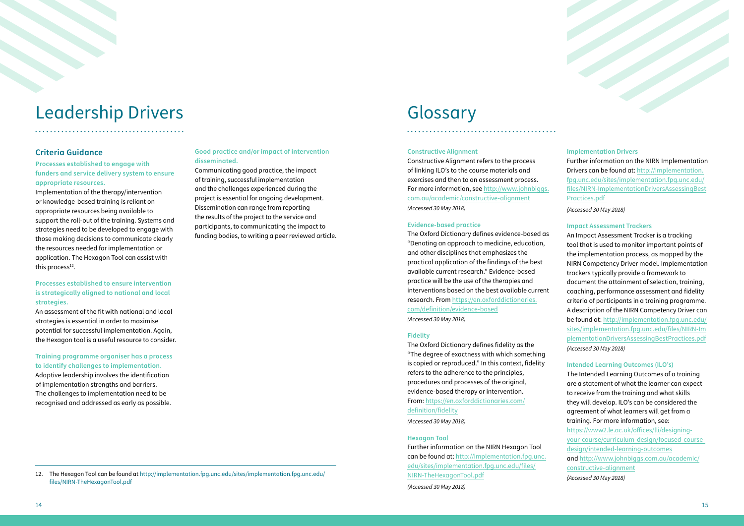# Leadership Drivers Glossary

. . . . . . . . . . . . . . . . . . .

### **Criteria Guidance**

Implementation of the therapy/intervention or knowledge-based training is reliant on appropriate resources being available to support the roll-out of the training. Systems and strategies need to be developed to engage with those making decisions to communicate clearly the resources needed for implementation or application. The Hexagon Tool can assist with this process $12$ .

**Processes established to engage with funders and service delivery system to ensure appropriate resources.** 

### **Processes established to ensure intervention is strategically aligned to national and local strategies.**

An assessment of the fit with national and local strategies is essential in order to maximise potential for successful implementation. Again, the Hexagon tool is a useful resource to consider.

### **Training programme organiser has a process to identify challenges to implementation.**

Adaptive leadership involves the identification of implementation strengths and barriers. The challenges to implementation need to be recognised and addressed as early as possible.

### **Good practice and/or impact of intervention disseminated.**

Communicating good practice, the impact of training, successful implementation and the challenges experienced during the project is essential for ongoing development. Dissemination can range from reporting the results of the project to the service and participants, to communicating the impact to funding bodies, to writing a peer reviewed article.

12. The Hexagon Tool can be found at http://implementation.fpg.unc.edu/sites/implementation.fpg.unc.edu/ files/NIRN-TheHexagonTool.pdf

### **Constructive Alignment**

Constructive Alignment refers to the process of linking ILO's to the course materials and exercises and then to an assessment process. For more information, see http://www.johnbiggs. com.au/academic/constructive-alignment *(Accessed 30 May 2018)*

### **Evidence-based practice**

The Oxford Dictionary defines evidence-based as "Denoting an approach to medicine, education, and other disciplines that emphasizes the practical application of the findings of the best available current research." Evidence-based practice will be the use of the therapies and interventions based on the best available current research. From https://en.oxforddictionaries. com/definition/evidence-based *(Accessed 30 May 2018)*

### **Fidelity**

The Oxford Dictionary defines fidelity as the "The degree of exactness with which something is copied or reproduced." In this context, fidelity refers to the adherence to the principles, procedures and processes of the original, evidence-based therapy or intervention. From: https://en.oxforddictionaries.com/ definition/fidelity

*(Accessed 30 May 2018)*

### **Hexagon Tool**

Further information on the NIRN Hexagon Tool can be found at: http://implementation.fpg.unc. edu/sites/implementation.fpg.unc.edu/files/ NIRN-TheHexagonTool.pdf

*(Accessed 30 May 2018)*

## **Implementation Drivers**

Further information on the NIRN Implementation Drivers can be found at: http://implementation. fpg.unc.edu/sites/implementation.fpg.unc.edu/ files/NIRN-ImplementationDriversAssessingBest Practices.pdf

14 Marshall Construction of the Constant

*(Accessed 30 May 2018)*

### **Impact Assessment Trackers**

An Impact Assessment Tracker is a tracking tool that is used to monitor important points of the implementation process, as mapped by the NIRN Competency Driver model. Implementation trackers typically provide a framework to document the attainment of selection, training, coaching, performance assessment and fidelity criteria of participants in a training programme. A description of the NIRN Competency Driver can be found at: http://implementation.fpg.unc.edu/ sites/implementation.fpg.unc.edu/files/NIRN-Im plementationDriversAssessingBestPractices.pdf *(Accessed 30 May 2018)*

### **Intended Learning Outcomes (ILO's)**

The Intended Learning Outcomes of a training are a statement of what the learner can expect to receive from the training and what skills they will develop. ILO's can be considered the agreement of what learners will get from a training. For more information, see:

https://www2.le.ac.uk/offices/lli/designingyour-course/curriculum-design/focused-coursedesign/intended-learning-outcomes and http://www.johnbiggs.com.au/academic/ constructive-alignment *(Accessed 30 May 2018)*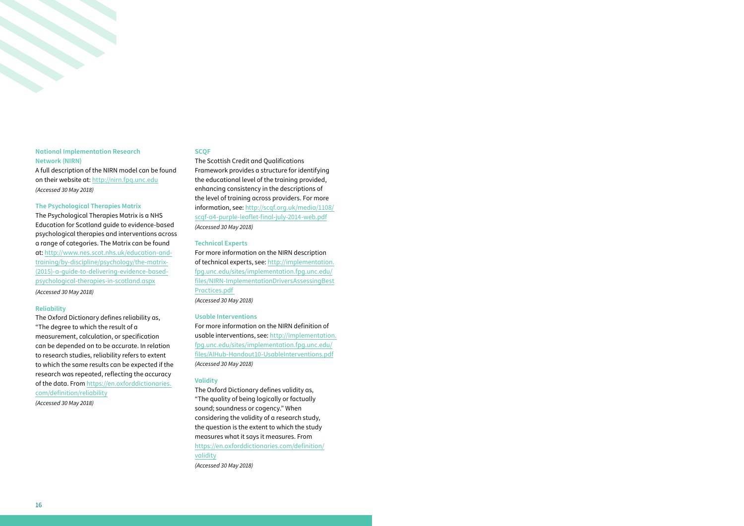### **National Implementation Research Network (NIRN)**

A full description of the NIRN model can be found on their website at: http://nirn.fpg.unc.edu *(Accessed 30 May 2018)*

### **The Psychological Therapies Matrix**

The Psychological Therapies Matrix is a NHS Education for Scotland guide to evidence-based psychological therapies and interventions across a range of categories. The Matrix can be found at: http://www.nes.scot.nhs.uk/education-andtraining/by-discipline/psychology/the-matrix- (2015)-a-guide-to-delivering-evidence-basedpsychological-therapies-in-scotland.aspx

*(Accessed 30 May 2018)*

### **Reliability**

The Oxford Dictionary defines reliability as, "The degree to which the result of a measurement, calculation, or specification can be depended on to be accurate. In relation to research studies, reliability refers to extent to which the same results can be expected if the research was repeated, reflecting the accuracy of the data. From https://en.oxforddictionaries. com/definition/reliability *(Accessed 30 May 2018)*

### **SCQF**

The Scottish Credit and Qualifications Framework provides a structure for identifying the educational level of the training provided, enhancing consistency in the descriptions of the level of training across providers. For more information, see: http://scqf.org.uk/media/1108/ scqf-a4-purple-leaflet-final-july-2014-web.pdf *(Accessed 30 May 2018)*

### **Technical Experts**

For more information on the NIRN description of technical experts, see: http://implementation. fpg.unc.edu/sites/implementation.fpg.unc.edu/ files/NIRN-ImplementationDriversAssessingBest Practices.pdf *(Accessed 30 May 2018)*

### **Usable Interventions**

For more information on the NIRN definition of usable interventions, see: http://implementation. fpg.unc.edu/sites/implementation.fpg.unc.edu/ files/AIHub-Handout10-UsableInterventions.pdf *(Accessed 30 May 2018)*

### **Validity**

The Oxford Dictionary defines validity as, "The quality of being logically or factually sound; soundness or cogency." When considering the validity of a research study, the question is the extent to which the study measures what it says it measures. From https://en.oxforddictionaries.com/definition/ validity *(Accessed 30 May 2018)*